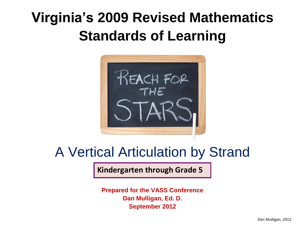# **Virginia's 2009 Revised Mathematics Standards of Learning**



## A Vertical Articulation by Strand

**Kindergarten through Grade 5**

**Prepared for the VASS Conference Dan Mulligan, Ed. D. September 2012**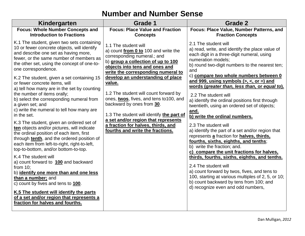#### **Number and Number Sense**

| Kindergarten                                                                                                                                                                                                                                                                                                                                                                                                                                                                                                                                                                                                                                                                                                                                                                                                                                                                                                                                                                                                                                                                                                                            | <b>Grade 1</b>                                                                                                                                                                                                                                                                                                                                                                                                                                                                                                                          | Grade 2                                                                                                                                                                                                                                                                                                                                                                                                                                                                                                                                                                                                                                                                                                                                                                                                                                                                                                                                                                                                                       |
|-----------------------------------------------------------------------------------------------------------------------------------------------------------------------------------------------------------------------------------------------------------------------------------------------------------------------------------------------------------------------------------------------------------------------------------------------------------------------------------------------------------------------------------------------------------------------------------------------------------------------------------------------------------------------------------------------------------------------------------------------------------------------------------------------------------------------------------------------------------------------------------------------------------------------------------------------------------------------------------------------------------------------------------------------------------------------------------------------------------------------------------------|-----------------------------------------------------------------------------------------------------------------------------------------------------------------------------------------------------------------------------------------------------------------------------------------------------------------------------------------------------------------------------------------------------------------------------------------------------------------------------------------------------------------------------------------|-------------------------------------------------------------------------------------------------------------------------------------------------------------------------------------------------------------------------------------------------------------------------------------------------------------------------------------------------------------------------------------------------------------------------------------------------------------------------------------------------------------------------------------------------------------------------------------------------------------------------------------------------------------------------------------------------------------------------------------------------------------------------------------------------------------------------------------------------------------------------------------------------------------------------------------------------------------------------------------------------------------------------------|
| <b>Focus: Whole Number Concepts and</b><br><b>Introduction to Fractions</b>                                                                                                                                                                                                                                                                                                                                                                                                                                                                                                                                                                                                                                                                                                                                                                                                                                                                                                                                                                                                                                                             | <b>Focus: Place Value and Fraction</b><br><b>Concepts</b>                                                                                                                                                                                                                                                                                                                                                                                                                                                                               | Focus: Place Value, Number Patterns, and<br><b>Fraction Concepts</b>                                                                                                                                                                                                                                                                                                                                                                                                                                                                                                                                                                                                                                                                                                                                                                                                                                                                                                                                                          |
| K.1 The student, given two sets containing<br>10 or fewer concrete objects, will identify<br>and describe one set as having more,<br>fewer, or the same number of members as<br>the other set, using the concept of one-to-<br>one correspondence.<br>K.2 The student, given a set containing 15<br>or fewer concrete items, will<br>a) tell how many are in the set by counting<br>the number of items orally;<br>b) select the corresponding numeral from<br>a given set; and<br>c) write the numeral to tell how many are<br>in the set.<br>K.3 The student, given an ordered set of<br>ten objects and/or pictures, will indicate<br>the ordinal position of each item, first<br>through tenth, and the ordered position of<br>each item from left-to-right, right-to-left,<br>top-to-bottom, and/or bottom-to-top.<br>K.4 The student will<br>a) count forward to 100 and backward<br>from $10$ ;<br>b) identify one more than and one less<br>than a number; and<br>c) count by fives and tens to 100.<br>K.5 The student will identify the parts<br>of a set and/or region that represents a<br>fraction for halves and fourths. | 1.1 The student will<br>a) count from 0 to 100 and write the<br>corresponding numeral.; and<br>b) group a collection of up to 100<br>objects into tens and ones and<br>write the corresponding numeral to<br>develop an understanding of place<br>value.<br>1.2 The student will count forward by<br>ones, twos, fives, and tens to 100, and<br>backward by ones from 30.<br>1.3 The student will identify the part of<br>a set and/or region that represents<br>a fraction for halves, thirds, and<br>fourths and write the fractions. | 2.1 The student will<br>a) read, write, and identify the place value of<br>each digit in a three-digit numeral, using<br>numeration models;<br>b) round two-digit numbers to the nearest ten;<br>and<br>c) compare two whole numbers between 0<br>and 999, using symbols $(>, <, or =)$ and<br>words (greater than, less than, or equal to).<br>2.2 The student will<br>a) identify the ordinal positions first through<br>twentieth, using an ordered set of objects;<br>and.<br>b) write the ordinal numbers.<br>2.3 The student will<br>a) identify the part of a set and/or region that<br>represents a fraction for halves, thirds,<br>fourths, sixths, eighths, and tenths;<br>b) write the fraction; and.<br>c) compare the unit fractions for halves,<br>thirds, fourths, sixths, eighths, and tenths.<br>2.4 The student will<br>a) count forward by twos, fives, and tens to<br>100, starting at various multiples of 2, 5, or 10;<br>b) count backward by tens from 100; and<br>d) recognize even and odd numbers, |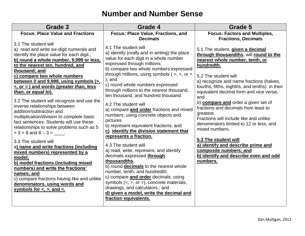#### **Number and Number Sense**

| <b>Grade 3</b>                                                                                                                                                                                                                                                                                                                                                                                                                                                                                                                                                                                                                        | Grade 4                                                                                                                                                                                                                                                                                                                                                                                                                                                                                                                                                                                        | Grade 5                                                                                                                                                                                                                                                                                                                                                                                                                                                                                                       |
|---------------------------------------------------------------------------------------------------------------------------------------------------------------------------------------------------------------------------------------------------------------------------------------------------------------------------------------------------------------------------------------------------------------------------------------------------------------------------------------------------------------------------------------------------------------------------------------------------------------------------------------|------------------------------------------------------------------------------------------------------------------------------------------------------------------------------------------------------------------------------------------------------------------------------------------------------------------------------------------------------------------------------------------------------------------------------------------------------------------------------------------------------------------------------------------------------------------------------------------------|---------------------------------------------------------------------------------------------------------------------------------------------------------------------------------------------------------------------------------------------------------------------------------------------------------------------------------------------------------------------------------------------------------------------------------------------------------------------------------------------------------------|
| <b>Focus: Place Value and Fractions</b>                                                                                                                                                                                                                                                                                                                                                                                                                                                                                                                                                                                               | Focus: Place Value, Fractions, and<br><b>Decimals</b>                                                                                                                                                                                                                                                                                                                                                                                                                                                                                                                                          | <b>Focus: Factors and Multiples,</b><br><b>Fractions, Decimals</b>                                                                                                                                                                                                                                                                                                                                                                                                                                            |
| 3.1 The student will<br>a) read and write six-digit numerals and<br>identify the place value for each digit.;<br>b) round a whole number, 9,999 or less,<br>to the nearest ten, hundred, and<br>thousand; and<br>c) compare two whole numbers<br>between 0 and 9,999, using symbols (>,<br><, or = ) and words (greater than, less<br>than, or equal to).<br>3.2 The student will recognize and use the<br>inverse relationships between<br>addition/subtraction and<br>multiplication/division to complete basic<br>fact sentences. Students will use these<br>relationships to solve problems such as 5<br>$+3 = 8$ and $8 - 3 =$ . | 4.1 The student will<br>a) identify (orally and in writing) the place<br>value for each digit in a whole number<br>expressed through millions;<br>b) compare two whole numbers expressed<br>through millions, using symbols ( $>$ , $<$ , or =<br>$);$ and<br>c) round whole numbers expressed<br>through millions to the nearest thousand,<br>ten thousand, and hundred thousand.<br>4.2 The student will<br>a) compare and order fractions and mixed<br>numbers; using concrete objects and<br>pictures<br>b) represent equivalent fractions; and<br>c) identify the division statement that | 5.1 The student, given a decimal<br>through thousandths, will round to the<br>nearest whole number, tenth, or<br>hundredth.<br>5.2 The student will<br>a) recognize and name fractions (halves,<br>fourths, fifths, eighths, and tenths) in their<br>equivalent decimal form and vice versa;<br>and<br>b) <b>compare and</b> order a given set of<br>fractions and decimals from least to<br>greatest.<br>Fractions will include like and unlike<br>denominators limited to 12 or less, and<br>mixed numbers. |
| 3.3 The student will<br>a) name and write fractions (including<br>mixed numbers) represented by a<br>model;<br>b) model fractions (including mixed<br>numbers) and write the fractions'<br>names; and<br>c) compare fractions having like and unlike<br>denominators, using words and<br>symbols for $\lt$ , $\gt$ , and $\equiv$ .                                                                                                                                                                                                                                                                                                   | represents a fraction.<br>4.3 The student will<br>a) read, write, represent, and identify<br>decimals expressed through<br>thousandths;<br>b) round decimals to the nearest whole<br>number, tenth, and hundredth;<br>c) compare and order decimals, using<br>symbols $(<, >,$ or $=$ ), concrete materials,<br>drawings, and calculators.; and<br>d) given a model, write the decimal and<br>fraction equivalents.                                                                                                                                                                            | 5.3 The student will<br>a) identify and describe prime and<br>composite numbers; and<br>b) identify and describe even and odd<br>numbers.                                                                                                                                                                                                                                                                                                                                                                     |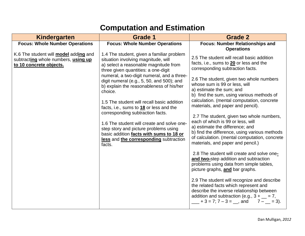#### **Computation and Estimation**

| <b>Kindergarten</b>                                                                                            | <b>Grade 1</b>                                                                                                                                                                                                                                                                                                                                                                                                                                                                                                                                                                                                                                 | <b>Grade 2</b>                                                                                                                                                                                                                                                                                                                                                                                                                                                                                                                                                                                                                                                                                                                                                                                                                                                                                                                                                                                                                                           |
|----------------------------------------------------------------------------------------------------------------|------------------------------------------------------------------------------------------------------------------------------------------------------------------------------------------------------------------------------------------------------------------------------------------------------------------------------------------------------------------------------------------------------------------------------------------------------------------------------------------------------------------------------------------------------------------------------------------------------------------------------------------------|----------------------------------------------------------------------------------------------------------------------------------------------------------------------------------------------------------------------------------------------------------------------------------------------------------------------------------------------------------------------------------------------------------------------------------------------------------------------------------------------------------------------------------------------------------------------------------------------------------------------------------------------------------------------------------------------------------------------------------------------------------------------------------------------------------------------------------------------------------------------------------------------------------------------------------------------------------------------------------------------------------------------------------------------------------|
| <b>Focus: Whole Number Operations</b>                                                                          | <b>Focus: Whole Number Operations</b>                                                                                                                                                                                                                                                                                                                                                                                                                                                                                                                                                                                                          | <b>Focus: Number Relationships and</b><br><b>Operations</b>                                                                                                                                                                                                                                                                                                                                                                                                                                                                                                                                                                                                                                                                                                                                                                                                                                                                                                                                                                                              |
| K.6 The student will <b>model</b> adding and<br>subtracting whole numbers, using up<br>to 10 concrete objects. | 1.4 The student, given a familiar problem<br>situation involving magnitude, will<br>a) select a reasonable magnitude from<br>three given quantities: a one-digit<br>numeral, a two-digit numeral, and a three-<br>digit numeral (e.g., $5$ , $50$ , and $500$ ); and<br>b) explain the reasonableness of his/her<br>choice.<br>1.5 The student will recall basic addition<br>facts, i.e., sums to 18 or less and the<br>corresponding subtraction facts.<br>1.6 The student will create and solve one-<br>step story and picture problems using<br>basic addition facts with sums to 18 or<br>less and the corresponding subtraction<br>facts. | 2.5 The student will recall basic addition<br>facts, i.e., sums to 20 or less and the<br>corresponding subtraction facts.<br>2.6 The student, given two whole numbers<br>whose sum is 99 or less, will<br>a) estimate the sum; and<br>b) find the sum, using various methods of<br>calculation. (mental computation, concrete<br>materials, and paper and pencil).<br>2.7 The student, given two whole numbers,<br>each of which is 99 or less, will<br>a) estimate the difference; and<br>b) find the difference, using various methods<br>of calculation. (mental computation, concrete<br>materials, and paper and pencil.)<br>2.8 The student will create and solve one-<br>and two-step addition and subtraction<br>problems using data from simple tables,<br>picture graphs, and bar graphs.<br>2.9 The student will recognize and describe<br>the related facts which represent and<br>describe the inverse relationship between<br>addition and subtraction (e.g., $3 + \underline{\hspace{2cm}} = 7$ ,<br>$+3 = 7; 7 - 3 =$ , and<br>$7 - 3$ . |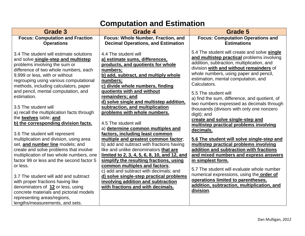#### **Computation and Estimation**

| <b>Grade 3</b>                                                                                                                                                                                                                                                                                                                                                                                                                                                                               | Grade 4                                                                                                                                                                                                                                                                                                                                                                                                                                                   | <b>Grade 5</b>                                                                                                                                                                                                                                                                                                                                                                                                                                                                                                                                                    |
|----------------------------------------------------------------------------------------------------------------------------------------------------------------------------------------------------------------------------------------------------------------------------------------------------------------------------------------------------------------------------------------------------------------------------------------------------------------------------------------------|-----------------------------------------------------------------------------------------------------------------------------------------------------------------------------------------------------------------------------------------------------------------------------------------------------------------------------------------------------------------------------------------------------------------------------------------------------------|-------------------------------------------------------------------------------------------------------------------------------------------------------------------------------------------------------------------------------------------------------------------------------------------------------------------------------------------------------------------------------------------------------------------------------------------------------------------------------------------------------------------------------------------------------------------|
| <b>Focus: Computation and Fraction</b>                                                                                                                                                                                                                                                                                                                                                                                                                                                       | Focus: Whole Number, Fraction, and                                                                                                                                                                                                                                                                                                                                                                                                                        | <b>Focus: Computation Operations and</b>                                                                                                                                                                                                                                                                                                                                                                                                                                                                                                                          |
| <b>Operations</b>                                                                                                                                                                                                                                                                                                                                                                                                                                                                            | <b>Decimal Operations, and Estimation</b>                                                                                                                                                                                                                                                                                                                                                                                                                 | <b>Estimations</b>                                                                                                                                                                                                                                                                                                                                                                                                                                                                                                                                                |
| 3.4 The student will estimate solutions<br>and solve single-step and multistep<br>problems involving the sum or<br>difference of two whole numbers, each<br>9,999 or less, with or without<br>regrouping using various computational<br>methods, including calculators, paper<br>and pencil, mental computation, and<br>estimation.<br>3.5 The student will<br>a) recall the multiplication facts through<br>the twelves table; and<br>b) the corresponding division facts.                  | 4.4 The student will<br>a) estimate sums, differences,<br>products, and quotients for whole<br>numbers;<br>b) add, subtract, and multiply whole<br>numbers;<br>c) divide whole numbers, finding<br>quotients with and without<br>remainders; and<br>d) solve single and multistep addition,<br>subtraction, and multiplication<br>problems with whole numbers.<br>4.5 The student will<br>a) determine common multiples and                               | 5.4 The student will create and solve single<br>and multistep practical problems involving<br>addition, subtraction, multiplication, and<br>division with and without remainders of<br>whole numbers, using paper and pencil,<br>estimation, mental computation, and<br>Calculators.<br>5.5 The student will<br>a) find the sum, difference, and quotient, of<br>two numbers expressed as decimals through<br>thousands (divisors with only one nonzero<br>digit); and<br>create and solve single-step and<br>multistep practical problems involving<br>decimals. |
| 3.6 The student will represent<br>multiplication and division, using area<br>set, and number line models; and<br>create and solve problems that involve<br>multiplication of two whole numbers, one<br>factor 99 or less and the second factor 5<br>or less.<br>3.7 The student will add and subtract<br>with proper fractions having like<br>denominators of 12 or less, using<br>concrete materials and pictorial models<br>representing areas/regions,<br>lengths/measurements, and sets. | factors, including least common<br>multiple and greatest common factor;<br>b) add and subtract with fractions having<br>like and unlike denominators that are<br>limited to 2, 3, 4, 5, 6, 8, 10, and 12, and<br>simplify the resulting fractions, using<br>common multiples and factors;<br>c) add and subtract with decimals; and<br>d) solve single-step practical problems<br>involving addition and subtraction<br>with fractions and with decimals. | 5.6 The student will solve single-step and<br>multistep practical problems involving<br>addition and subtraction with fractions<br>and mixed numbers and express answers<br>in simplest form.<br>5.7 The student will evaluate whole number<br>numerical expressions, using the order of<br>operations limited to parentheses,<br>addition, subtraction, multiplication, and<br>division.                                                                                                                                                                         |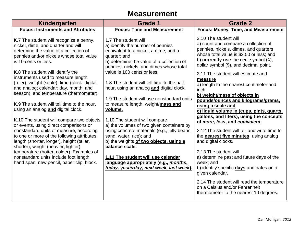#### **Measurement**

| Kindergarten                                                                                                                                                                                                                                                                                                                                                                                                                                                                                                                                                                                                                                                                                                                                                                                                                                                                                               | Grade 1                                                                                                                                                                                                                                                                                                                                                                                                                                                                                                                                                                                                                                                                                                                                                                             | <b>Grade 2</b>                                                                                                                                                                                                                                                                                                                                                                                                                                                                                                                                                                                                                                                                                                                                                                                                                                                                                                                                                            |
|------------------------------------------------------------------------------------------------------------------------------------------------------------------------------------------------------------------------------------------------------------------------------------------------------------------------------------------------------------------------------------------------------------------------------------------------------------------------------------------------------------------------------------------------------------------------------------------------------------------------------------------------------------------------------------------------------------------------------------------------------------------------------------------------------------------------------------------------------------------------------------------------------------|-------------------------------------------------------------------------------------------------------------------------------------------------------------------------------------------------------------------------------------------------------------------------------------------------------------------------------------------------------------------------------------------------------------------------------------------------------------------------------------------------------------------------------------------------------------------------------------------------------------------------------------------------------------------------------------------------------------------------------------------------------------------------------------|---------------------------------------------------------------------------------------------------------------------------------------------------------------------------------------------------------------------------------------------------------------------------------------------------------------------------------------------------------------------------------------------------------------------------------------------------------------------------------------------------------------------------------------------------------------------------------------------------------------------------------------------------------------------------------------------------------------------------------------------------------------------------------------------------------------------------------------------------------------------------------------------------------------------------------------------------------------------------|
| <b>Focus: Instruments and Attributes</b>                                                                                                                                                                                                                                                                                                                                                                                                                                                                                                                                                                                                                                                                                                                                                                                                                                                                   | <b>Focus: Time and Measurement</b>                                                                                                                                                                                                                                                                                                                                                                                                                                                                                                                                                                                                                                                                                                                                                  | <b>Focus: Money, Time, and Measurement</b>                                                                                                                                                                                                                                                                                                                                                                                                                                                                                                                                                                                                                                                                                                                                                                                                                                                                                                                                |
| K.7 The student will recognize a penny,<br>nickel, dime, and quarter and will<br>determine the value of a collection of<br>pennies and/or nickels whose total value<br>is 10 cents or less.<br>K.8 The student will identify the<br>instruments used to measure length<br>(ruler), weight (scale), time (clock: digital<br>and analog; calendar: day, month, and<br>season), and temperature (thermometer).<br>K.9 The student will tell time to the hour,<br>using an analog and digital clock.<br>K.10 The student will compare two objects<br>or events, using direct comparisons or<br>nonstandard units of measure, according<br>to one or more of the following attributes:<br>length (shorter, longer), height (taller,<br>shorter), weight (heavier, lighter),<br>temperature (hotter, colder). Examples of<br>nonstandard units include foot length,<br>hand span, new pencil, paper clip, block. | 1.7 The student will<br>a) identify the number of pennies<br>equivalent to a nickel, a dime, and a<br>quarter; and<br>b) determine the value of a collection of<br>pennies, nickels, and dimes whose total<br>value is 100 cents or less.<br>1.8 The student will tell time to the half-<br>hour, using an analog and digital clock.<br>1.9 The student will use nonstandard units<br>to measure length, weight/mass and<br>volume.<br>1.10 The student will compare<br>a) the volumes of two given containers by<br>using concrete materials (e.g., jelly beans,<br>sand, water, rice); and<br>b) the weights of two objects, using a<br>balance scale.<br>1.11 The student will use calendar<br>language appropriately (e.g., months,<br>today, yesterday, next week, last week). | 2.10 The student will<br>a) count and compare a collection of<br>pennies, nickels, dimes, and quarters<br>whose total value is \$2.00 or less; and<br>b) correctly use the cent symbol $(\phi)$ ,<br>dollar symbol (\$), and decimal point.<br>2.11 The student will estimate and<br>measure<br>a) length to the nearest centimeter and<br>inch<br>b) weight/mass of objects in<br>pounds/ounces and kilograms/grams,<br>using a scale and<br>c) liquid volume in (cups, pints, quarts,<br>gallons, and liters), using the concepts<br>of more, less, and equivalent.<br>2.12 The student will tell and write time to<br>the <b>nearest five minutes</b> , using analog<br>and digital clocks.<br>2.13 The student will<br>a) determine past and future days of the<br>week; and<br>b) identify specific days and dates on a<br>given calendar.<br>2.14 The student will read the temperature<br>on a Celsius and/or Fahrenheit<br>thermometer to the nearest 10 degrees. |
|                                                                                                                                                                                                                                                                                                                                                                                                                                                                                                                                                                                                                                                                                                                                                                                                                                                                                                            |                                                                                                                                                                                                                                                                                                                                                                                                                                                                                                                                                                                                                                                                                                                                                                                     |                                                                                                                                                                                                                                                                                                                                                                                                                                                                                                                                                                                                                                                                                                                                                                                                                                                                                                                                                                           |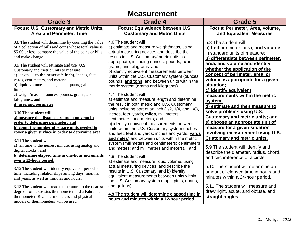#### **Measurement**

| Grade 3                                                                                 | Grade 4                                                                                            | Grade 5                                |
|-----------------------------------------------------------------------------------------|----------------------------------------------------------------------------------------------------|----------------------------------------|
| Focus: U.S. Customary and Metric Units,                                                 | Focus: Equivalence between U.S.                                                                    | Focus: Perimeter, Area, volume,        |
| <b>Area and Perimeter, Time</b>                                                         | <b>Customary and Metric Units</b>                                                                  | and Equivalent Measures                |
| 3.8 The student will determine by counting the value                                    | 4.6 The student will                                                                               | 5.8 The student will                   |
| of a collection of bills and coins whose total value is                                 | a) estimate and measure weight/mass, using                                                         | a) find perimeter, area, and volume    |
| \$5.00 or less, compare the value of the coins or bills,                                | actual measuring devices and describe the                                                          | in standard units of measure:          |
| and make change.                                                                        | results in U.S. Customary/metric units as                                                          | b) differentiate between perimeter,    |
|                                                                                         | appropriate, including ounces, pounds, tons,                                                       | area, and volume and identify          |
| 3.9 The student will estimate and use U.S.                                              | grams, and kilograms and                                                                           | whether the application of the         |
| Customary and metric units to measure:                                                  | b) identify equivalent measurements between                                                        |                                        |
| a) length — to the nearest $\frac{1}{2}$ inches, feet,                                  | units within the U.S. Customary system (ounces,                                                    | concept of perimeter, area, or         |
| yards, centimeters, and meters;<br>b) liquid volume — cups, pints, quarts, gallons, and | pounds, and tons, and between units within the                                                     | volume is appropriate for a given      |
| liters;                                                                                 | metric system (grams and kilograms).                                                               | situation;                             |
| c) weight/mass — ounces, pounds, grams, and                                             | 4.7 The student will                                                                               | c) identify equivalent                 |
| kilograms.; and                                                                         | a) estimate and measure length and determine                                                       | measurements within the metric         |
| d) area and perimeter.                                                                  | the result in both metric and U.S. Customary                                                       | system;                                |
|                                                                                         | units including part of an inch (1/2, 1/4, and 1/8),                                               | d) estimate and then measure to        |
| 3.10 The student will                                                                   | inches, feet, yards, miles, millimeters,                                                           | solve problems using U.S.              |
| a) measure the distance around a polygon in                                             | centimeters, and meters; and                                                                       | <b>Customary and metric units; and</b> |
| order to determine perimeter; and<br>b) count the number of square units needed to      | b) identify equivalent measurements between                                                        | e) choose an appropriate unit of       |
| cover a given surface in order to determine area.                                       | units within the U.S. Customary system (inches                                                     | measure for a given situation          |
|                                                                                         | and feet; feet and yards; inches and yards; yards                                                  | involving measurement using U.S.       |
| 3.11 The student will                                                                   | and miles) and between units within the metric<br>system (millimeters and centimeters; centimeters | <b>Customary and metric units.</b>     |
| a) tell time to the nearest minute, using analog and                                    | and meters; and millimeters and meters).; and                                                      | 5.9 The student will identify and      |
| digital clocks.; and                                                                    |                                                                                                    | describe the diameter, radius, chord,  |
| b) determine elapsed time in one-hour increments                                        | 4.8 The student will                                                                               | and circumference of a circle.         |
| over a 12-hour period.                                                                  | a) estimate and measure liquid volume, using                                                       |                                        |
| 3.12 The student will identify equivalent periods of                                    | actual measuring devices and describe the                                                          | 5.10 The student will determine an     |
| time, including relationships among days, months,                                       | results in U.S. Customary; and b) identify                                                         | amount of elapsed time in hours and    |
| and years, as well as minutes and hours.                                                | equivalent measurements between units within                                                       | minutes within a 24-hour period.       |
|                                                                                         | the U.S. Customary system (cups, pints, quarts,                                                    |                                        |
| 3.13 The student will read temperature to the nearest                                   | and gallons).                                                                                      | 5.11 The student will measure and      |
| degree from a Celsius thermometer and a Fahrenheit                                      | 4.9 The student will determine elapsed time in                                                     | draw right, acute, and obtuse, and     |
| thermometer. Real thermometers and physical<br>models of thermometers will be used.     | hours and minutes within a 12-hour period.                                                         | straight angles.                       |
|                                                                                         |                                                                                                    |                                        |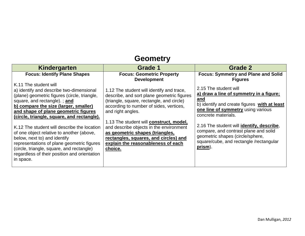#### **Geometry**

| Kindergarten                                                                                                                                                                                                                                                                                                                                                                                                                                                                                                                                                         | <b>Grade 1</b>                                                                                                                                                                                                                                                                                                                                                                                                          | Grade 2                                                                                                                                                                                                                                                                                                                                                              |
|----------------------------------------------------------------------------------------------------------------------------------------------------------------------------------------------------------------------------------------------------------------------------------------------------------------------------------------------------------------------------------------------------------------------------------------------------------------------------------------------------------------------------------------------------------------------|-------------------------------------------------------------------------------------------------------------------------------------------------------------------------------------------------------------------------------------------------------------------------------------------------------------------------------------------------------------------------------------------------------------------------|----------------------------------------------------------------------------------------------------------------------------------------------------------------------------------------------------------------------------------------------------------------------------------------------------------------------------------------------------------------------|
| <b>Focus: Identify Plane Shapes</b>                                                                                                                                                                                                                                                                                                                                                                                                                                                                                                                                  | <b>Focus: Geometric Property</b><br><b>Development</b>                                                                                                                                                                                                                                                                                                                                                                  | <b>Focus: Symmetry and Plane and Solid</b><br><b>Figures</b>                                                                                                                                                                                                                                                                                                         |
| K.11 The student will<br>a) identify and describe two-dimensional<br>(plane) geometric figures (circle, triangle,<br>square, and rectangle).; and<br>b) compare the size (larger, smaller)<br>and shape of plane geometric figures<br>(circle, triangle, square, and rectangle).<br>K.12 The student will describe the location<br>of one object relative to another (above,<br>below, next to) and identify<br>representations of plane geometric figures<br>(circle, triangle, square, and rectangle)<br>regardless of their position and orientation<br>in space. | 1.12 The student will identify and trace,<br>describe, and sort plane geometric figures<br>(triangle, square, rectangle, and circle)<br>according to number of sides, vertices,<br>and right angles.<br>1.13 The student will construct, model,<br>and describe objects in the environment<br>as geometric shapes (triangles,<br>rectangles, squares, and circles) and<br>explain the reasonableness of each<br>choice. | 2.15 The student will<br>a) draw a line of symmetry in a figure;<br>and<br>b) identify and create figures with at least<br>one line of symmetry using various<br>concrete materials.<br>2.16 The student will identify, describe,<br>compare, and contrast plane and solid<br>geometric shapes (circle/sphere,<br>square/cube, and rectangle /rectangular<br>prism). |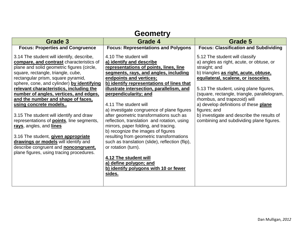#### **Grade 3 Grade 4 Grade 5 Focus: Properties and Congruence** 3.14 The student will identify, describe, **compare, and contrast** characteristics of plane and solid geometric figures (circle, square, rectangle, triangle, cube, rectangular prism, square pyramid, sphere, cone, and cylinder) **by identifying relevant characteristics, including the number of angles, vertices, and edges, and the number and shape of faces, using concrete models..** 3.15 The student will identify and draw representations of **points**, line segments, **rays**, angles, and **lines** 3.16 The student, **given appropriate drawings or models** will identify and describe congruent and **noncongruent,** plane figures, using tracing procedures. **Focus: Representations and Polygons** 4.10 The student will **a) identify and describe representations of points, lines, line segments, rays, and angles, including endpoints and vertices; b) identify representations of lines that illustrate intersection, parallelism, and perpendicularity; and** 4.11 The student will a) investigate congruence of plane figures after geometric transformations such as reflection, translation and rotation, using mirrors, paper folding, and tracing. b) recognize the images of figures resulting from geometric transformations such as translation (slide), reflection (flip), or rotation (turn). **4.12 The student will a) define polygon; and b) identify polygons with 10 or fewer sides. Focus: Classification and Subdividing** 5.12 The student will classify a) angles as right, acute, or obtuse, or straight; and b) triangles **as right, acute, obtuse, equilateral, scalene, or isosceles.** 5.13 The student, using plane figures, (square, rectangle, triangle, parallelogram, rhombus, and trapezoid) will a) develop definitions of these **plane** figures; and b) investigate and describe the results of combining and subdividing plane figures.

#### **Geometry**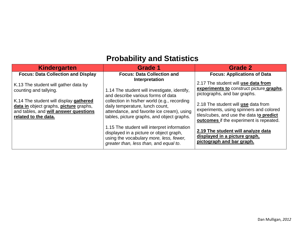### **Probability and Statistics**

| <b>Kindergarten</b>                                                                                                                                                                                                 | <b>Grade 1</b>                                                                                                                                                                                                                                                                                                                                                                                                                                                     | <b>Grade 2</b>                                                                                                                                                                                                                                                                                                                                                                               |
|---------------------------------------------------------------------------------------------------------------------------------------------------------------------------------------------------------------------|--------------------------------------------------------------------------------------------------------------------------------------------------------------------------------------------------------------------------------------------------------------------------------------------------------------------------------------------------------------------------------------------------------------------------------------------------------------------|----------------------------------------------------------------------------------------------------------------------------------------------------------------------------------------------------------------------------------------------------------------------------------------------------------------------------------------------------------------------------------------------|
| <b>Focus: Data Collection and Display</b>                                                                                                                                                                           | <b>Focus: Data Collection and</b>                                                                                                                                                                                                                                                                                                                                                                                                                                  | <b>Focus: Applications of Data</b>                                                                                                                                                                                                                                                                                                                                                           |
| K.13 The student will gather data by<br>counting and tallying.<br>K.14 The student will display gathered<br>data in object graphs, picture graphs,<br>and tables, and will answer questions<br>related to the data. | Interpretation<br>1.14 The student will investigate, identify,<br>and describe various forms of data<br>collection in his/her world (e.g., recording<br>daily temperature, lunch count,<br>attendance, and favorite ice cream), using<br>tables, picture graphs, and object graphs.<br>1.15 The student will interpret information<br>displayed in a picture or object graph,<br>using the vocabulary more, less, fewer,<br>greater than, less than, and equal to. | 2.17 The student will use data from<br>experiments to construct picture graphs,<br>pictographs, and bar graphs.<br>2.18 The student will use data from<br>experiments, using spinners and colored<br>tiles/cubes, and use the data to predict<br>outcomes if the experiment is repeated.<br>2.19 The student will analyze data<br>displayed in a picture graph,<br>pictograph and bar graph. |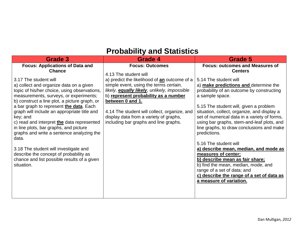#### **Probability and Statistics**

| Grade 3                                                                                                                                                                                                                                                                                                                                                                                                                                                                                                           | Grade 4                                                                                                                                                                                                                                                                                                                                                                                  | Grade 5                                                                                                                                                                                                                                                                                                                                                                                                                                        |
|-------------------------------------------------------------------------------------------------------------------------------------------------------------------------------------------------------------------------------------------------------------------------------------------------------------------------------------------------------------------------------------------------------------------------------------------------------------------------------------------------------------------|------------------------------------------------------------------------------------------------------------------------------------------------------------------------------------------------------------------------------------------------------------------------------------------------------------------------------------------------------------------------------------------|------------------------------------------------------------------------------------------------------------------------------------------------------------------------------------------------------------------------------------------------------------------------------------------------------------------------------------------------------------------------------------------------------------------------------------------------|
| <b>Focus: Applications of Data and</b><br><b>Chance</b><br>3.17 The student will<br>a) collect and organize data on a given<br>topic of his/her choice, using observations,<br>measurements, surveys, or experiments;<br>b) construct a line plot, a picture graph, or<br>a bar graph to represent the data. Each<br>graph will include an appropriate title and<br>key; and<br>c) read and interpret the data represented<br>in line plots, bar graphs, and picture<br>graphs and write a sentence analyzing the | <b>Focus: Outcomes</b><br>4.13 The student will<br>a) predict the likelihood of an outcome of a<br>simple event, using the terms certain,<br>likely, equally likely, unlikely, impossible<br>b) represent probability as a number<br>between 0 and 1.<br>4.14 The student will collect, organize, and<br>display data from a variety of graphs,<br>including bar graphs and line graphs. | <b>Focus: outcomes and Measures of</b><br><b>Centers</b><br>5.14 The student will<br>a) make predictions and determine the<br>probability of an outcome by constructing<br>a sample space.<br>5.15 The student will, given a problem<br>situation, collect, organize, and display a<br>set of numerical data in a variety of forms,<br>using bar graphs, stem-and-leaf plots, and<br>line graphs, to draw conclusions and make<br>predictions. |
| data.<br>3.18 The student will investigate and<br>describe the concept of probability as<br>chance and list possible results of a given<br>situation.                                                                                                                                                                                                                                                                                                                                                             |                                                                                                                                                                                                                                                                                                                                                                                          | 5.16 The student will<br>a) describe mean, median, and mode as<br>measures of center;<br>b) describe mean as fair share;<br>b) find the mean, median, mode, and<br>range of a set of data; and<br>c) describe the range of a set of data as<br>a measure of variation.                                                                                                                                                                         |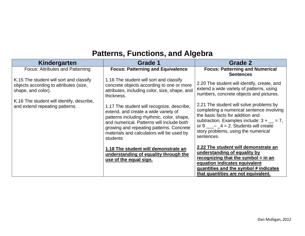### **Patterns, Functions, and Algebra**

| Kindergarten                                                                                            | Grade 1                                                                                                                                                                                                                                                                            | Grade 2                                                                                                                                                                                                                                                                                               |
|---------------------------------------------------------------------------------------------------------|------------------------------------------------------------------------------------------------------------------------------------------------------------------------------------------------------------------------------------------------------------------------------------|-------------------------------------------------------------------------------------------------------------------------------------------------------------------------------------------------------------------------------------------------------------------------------------------------------|
| Focus: Attributes and Patterning                                                                        | <b>Focus: Patterning and Equivalence</b>                                                                                                                                                                                                                                           | <b>Focus: Patterning and Numerical</b><br><b>Sentences</b>                                                                                                                                                                                                                                            |
| K.15 The student will sort and classify<br>objects according to attributes (size,<br>shape, and color). | 1.16 The student will sort and classify<br>concrete objects according to one or more<br>attributes, including color, size, shape, and<br>thickness.                                                                                                                                | 2.20 The student will identify, create, and<br>extend a wide variety of patterns, using<br>numbers, concrete objects and pictures.                                                                                                                                                                    |
| K.16 The student will identify, describe,<br>and extend repeating patterns.                             | 1.17 The student will recognize, describe,<br>extend, and create a wide variety of<br>patterns including rhythmic, color, shape,<br>and numerical. Patterns will include both<br>growing and repeating patterns. Concrete<br>materials and calculators will be used by<br>students | 2.21 The student will solve problems by<br>completing a numerical sentence involving<br>the basic facts for addition and<br>subtraction. Examples include: $3 + \underline{\hspace{2cm}} = 7$ ,<br>or $9 \_\_\_4 = 4 = 2$ . Students will create<br>story problems, using the numerical<br>sentences. |
|                                                                                                         | 1.18 The student will demonstrate an<br>understanding of equality through the<br>use of the equal sign.                                                                                                                                                                            | 2.22 The student will demonstrate an<br>understanding of equality by<br>recognizing that the symbol $=$ in an<br>equation indicates equivalent<br>quantities and the symbol $\neq$ indicates<br>that quantities are not equivalent.                                                                   |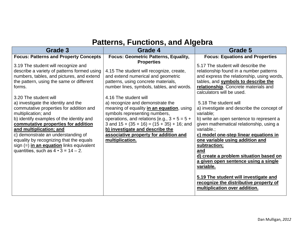#### **Patterns, Functions, and Algebra**

| Grade 3                                                                                                                                                                                                                                                                                                                                                                                                                                                                                                                                                                                                          | Grade 4                                                                                                                                                                                                                                                                                                                                                                                                                                                                                                                              | Grade 5                                                                                                                                                                                                                                                                                                                                                                                                                                                                                                                                                                                                                                                                                                                |  |
|------------------------------------------------------------------------------------------------------------------------------------------------------------------------------------------------------------------------------------------------------------------------------------------------------------------------------------------------------------------------------------------------------------------------------------------------------------------------------------------------------------------------------------------------------------------------------------------------------------------|--------------------------------------------------------------------------------------------------------------------------------------------------------------------------------------------------------------------------------------------------------------------------------------------------------------------------------------------------------------------------------------------------------------------------------------------------------------------------------------------------------------------------------------|------------------------------------------------------------------------------------------------------------------------------------------------------------------------------------------------------------------------------------------------------------------------------------------------------------------------------------------------------------------------------------------------------------------------------------------------------------------------------------------------------------------------------------------------------------------------------------------------------------------------------------------------------------------------------------------------------------------------|--|
| <b>Focus: Patterns and Property Concepts</b>                                                                                                                                                                                                                                                                                                                                                                                                                                                                                                                                                                     | Focus: Geometric Patterns, Equality,                                                                                                                                                                                                                                                                                                                                                                                                                                                                                                 | <b>Focus: Equations and Properties</b>                                                                                                                                                                                                                                                                                                                                                                                                                                                                                                                                                                                                                                                                                 |  |
| 3.19 The student will recognize and<br>describe a variety of patterns formed using<br>numbers, tables, and pictures, and extend<br>the pattern, using the same or different<br>forms.<br>3.20 The student will<br>a) investigate the identity and the<br>commutative properties for addition and<br>multiplication; and<br>b) identify examples of the identity and<br>commutative properties for addition<br>and multiplication; and<br>c) demonstrate an understanding of<br>equality by recognizing that the equals<br>sign (=) in an equation links equivalent<br>quantities, such as $4 \cdot 3 = 14 - 2$ . | <b>Properties</b><br>4.15 The student will recognize, create,<br>and extend numerical and geometric<br>patterns, using concrete materials,<br>number lines, symbols, tables, and words.<br>4.16 The student will<br>a) recognize and demonstrate the<br>meaning of equality in an equation, using<br>symbols representing numbers,<br>operations, and relations [e.g., $3 + 5 = 5 +$<br>3 and $15 + (35 + 16) = (15 + 35) + 16$ ; and<br>b) investigate and describe the<br>associative property for addition and<br>multiplication. | 5.17 The student will describe the<br>relationship found in a number patterns<br>and express the relationship, using words,<br>tables, and symbols to describe the<br>relationship. Concrete materials and<br>calculators will be used.<br>5.18 The student will<br>a) investigate and describe the concept of<br>variable;<br>b) write an open sentence to represent a<br>given mathematical relationship, using a<br>variable.:<br>c) model one-step linear equations in<br>one variable using addition and<br>subtraction;<br>and<br>d) create a problem situation based on<br>a given open sentence using a single<br>variable.<br>5.19 The student will investigate and<br>recognize the distributive property of |  |
|                                                                                                                                                                                                                                                                                                                                                                                                                                                                                                                                                                                                                  |                                                                                                                                                                                                                                                                                                                                                                                                                                                                                                                                      | multiplication over addition.                                                                                                                                                                                                                                                                                                                                                                                                                                                                                                                                                                                                                                                                                          |  |